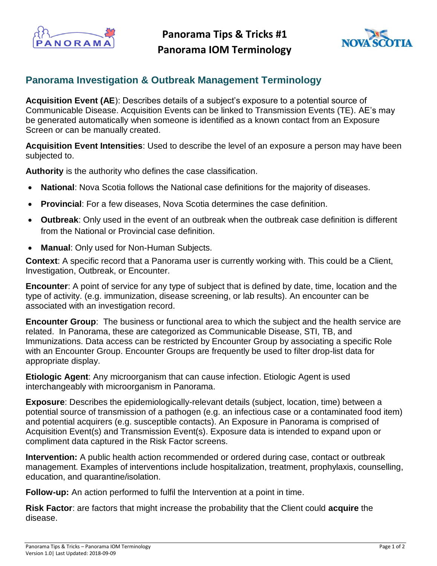

**Panorama Tips & Tricks #1 Panorama IOM Terminology**



## **Panorama Investigation & Outbreak Management Terminology**

**Acquisition Event (AE**): Describes details of a subject's exposure to a potential source of Communicable Disease. Acquisition Events can be linked to Transmission Events (TE). AE's may be generated automatically when someone is identified as a known contact from an Exposure Screen or can be manually created.

**Acquisition Event Intensities**: Used to describe the level of an exposure a person may have been subjected to.

**Authority** is the authority who defines the case classification.

- **National**: Nova Scotia follows the National case definitions for the majority of diseases.
- **Provincial**: For a few diseases, Nova Scotia determines the case definition.
- **Outbreak**: Only used in the event of an outbreak when the outbreak case definition is different from the National or Provincial case definition.
- **Manual**: Only used for Non-Human Subjects.

**Context**: A specific record that a Panorama user is currently working with. This could be a Client, Investigation, Outbreak, or Encounter.

**Encounter**: A point of service for any type of subject that is defined by date, time, location and the type of activity. (e.g. immunization, disease screening, or lab results). An encounter can be associated with an investigation record.

**Encounter Group**: The business or functional area to which the subject and the health service are related. In Panorama, these are categorized as Communicable Disease, STI, TB, and Immunizations. Data access can be restricted by Encounter Group by associating a specific Role with an Encounter Group. Encounter Groups are frequently be used to filter drop-list data for appropriate display.

**Etiologic Agent**: Any microorganism that can cause infection. Etiologic Agent is used interchangeably with microorganism in Panorama.

**Exposure**: Describes the epidemiologically-relevant details (subject, location, time) between a potential source of transmission of a pathogen (e.g. an infectious case or a contaminated food item) and potential acquirers (e.g. susceptible contacts). An Exposure in Panorama is comprised of Acquisition Event(s) and Transmission Event(s). Exposure data is intended to expand upon or compliment data captured in the Risk Factor screens.

**Intervention:** A public health action recommended or ordered during case, contact or outbreak management. Examples of interventions include hospitalization, treatment, prophylaxis, counselling, education, and quarantine/isolation.

**Follow-up:** An action performed to fulfil the Intervention at a point in time.

**Risk Factor**: are factors that might increase the probability that the Client could **acquire** the disease.